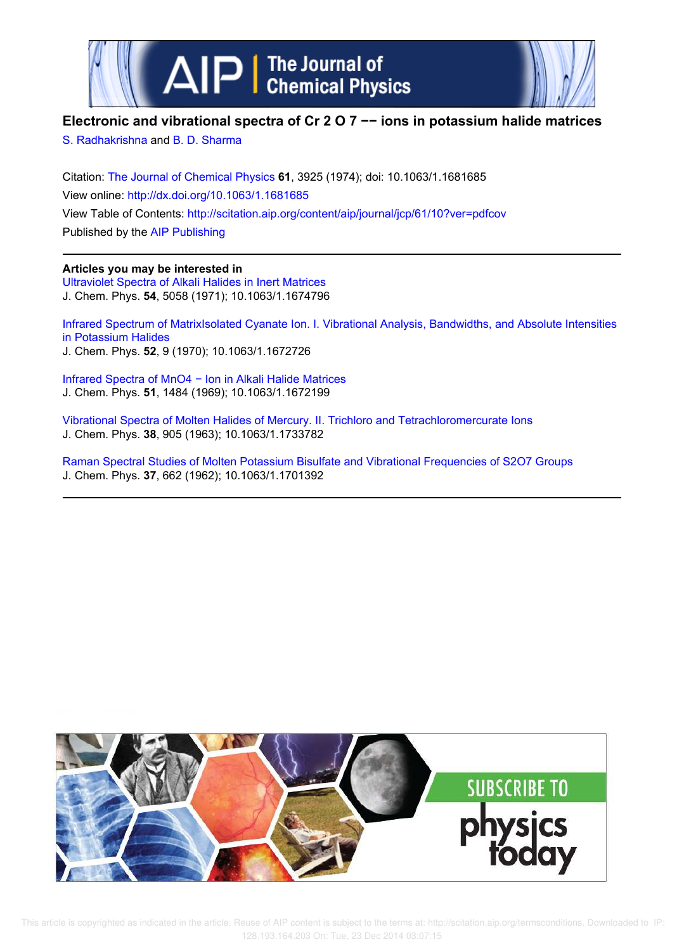



# **Electronic and vibrational spectra of Cr 2 O 7 −− ions in potassium halide matrices**

S. Radhakrishna and B. D. Sharma

Citation: The Journal of Chemical Physics **61**, 3925 (1974); doi: 10.1063/1.1681685 View online: http://dx.doi.org/10.1063/1.1681685 View Table of Contents: http://scitation.aip.org/content/aip/journal/jcp/61/10?ver=pdfcov Published by the AIP Publishing

# **Articles you may be interested in**

Ultraviolet Spectra of Alkali Halides in Inert Matrices J. Chem. Phys. **54**, 5058 (1971); 10.1063/1.1674796

Infrared Spectrum of MatrixIsolated Cyanate Ion. I. Vibrational Analysis, Bandwidths, and Absolute Intensities in Potassium Halides J. Chem. Phys. **52**, 9 (1970); 10.1063/1.1672726

Infrared Spectra of MnO4 − Ion in Alkali Halide Matrices J. Chem. Phys. **51**, 1484 (1969); 10.1063/1.1672199

Vibrational Spectra of Molten Halides of Mercury. II. Trichloro and Tetrachloromercurate Ions J. Chem. Phys. **38**, 905 (1963); 10.1063/1.1733782

Raman Spectral Studies of Molten Potassium Bisulfate and Vibrational Frequencies of S2O7 Groups J. Chem. Phys. **37**, 662 (1962); 10.1063/1.1701392



 This article is copyrighted as indicated in the article. Reuse of AIP content is subject to the terms at: http://scitation.aip.org/termsconditions. Downloaded to IP: 128.193.164.203 On: Tue, 23 Dec 2014 03:07:15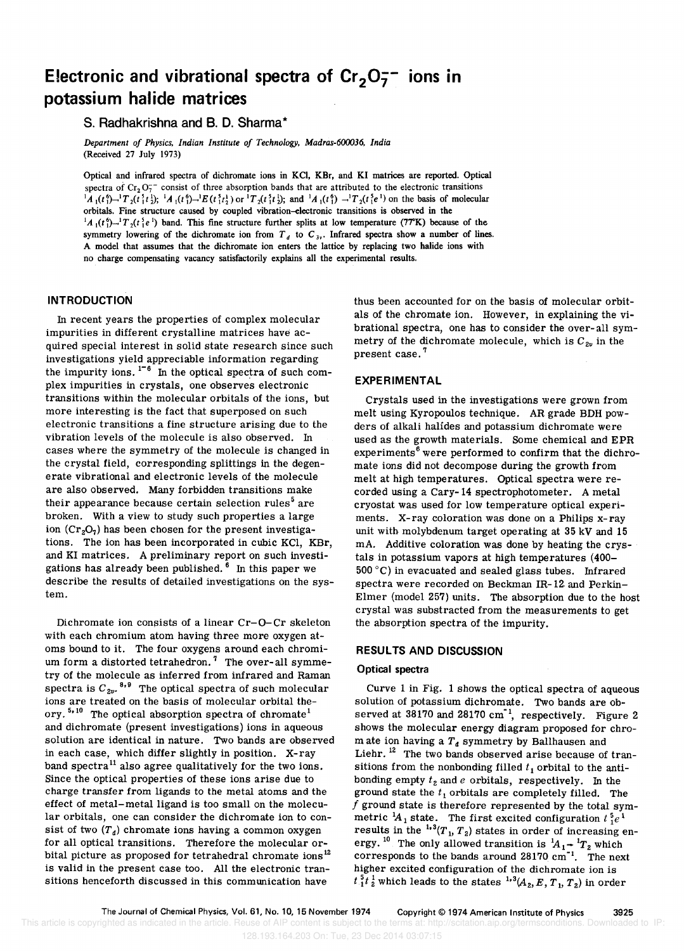# **Electronic and vibrational spectra of Cr<sub>2</sub>O<sub>7</sub><sup>-</sup> ions in potassium halide matrices**

## s. **Radhakrishna and** B. D. **Sharma \***

*Department of Physics, Indian Institute of Technology, Madras-600036, India*  (Received 27 July 1973)

Optical and infrared spectra of dichromate ions in KCI, KBr, and KI matrices are reported. Optical spectra of  $Cr_2O_7^-$  consist of three absorption bands that are attributed to the electronic transitions  ${}^{1}A_{1}(t_{1}^{6})$   ${}^{-1}T_{2}(t_{1}^{5}t_{2}^{1})$ ;  ${}^{1}A_{1}(t_{1}^{6})$   ${}^{-1}E(t_{1}^{5}t_{2}^{1})$  or  ${}^{1}T_{2}(t_{1}^{5}t_{2}^{1})$ ; and  ${}^{1}A_{1}(t_{1}^{6})$   ${}^{-1}T_{2}(t_{1}^{5}e^{1})$  on the basis of molecular orbitals. Fine structure caused by coupled vibration-electronic transitions is observed in the  ${}^{1}A_{1}(t_{1}^{6})$   $\rightarrow$   ${}^{1}T_{2}(t_{1}^{5}e^{1})$  band. This fine structure further splits at low temperature (77°K) because of the symmetry lowering of the dichromate ion from  $T_d$  to  $C_{3y}$ . Infrared spectra show a number of lines. A model that assumes that the dichromate ion enters the lattice by replacing two halide ions with no charge compensating vacancy satisfactorily explains all the experimental results.

### **INTRODUCTION**

In recent years the properties of complex molecular impurities in different crystalline matrices have acquired special interest in solid state research since such investigations yield appreciable information regarding the impurity ions.  $1-6$  In the optical spectra of such complex impurities in crystals, one observes electronic transitions within the molecular orbitals of the ions, but more interesting is the fact that superposed on such electronic transitions a fine structure arising due to the vibration levels of the molecule is also observed. In cases where the symmetry of the molecule is changed in the crystal field, corresponding splittings in the degenerate vibrational and electronic levels of the molecule are also observed. Many forbidden transitions make their appearance because certain selection rules<sup>5</sup> are broken. With a view to study such properties a large ion  $(\text{Cr}_2\text{O}_7)$  has been chosen for the present investigations. The ion has been incorporated in cubic KCI, KBr, and KI matrices. A preliminary report on such investigations has already been published. 6 In this paper we describe the results of detailed investigations on the system.

Dichromate ion consists of a linear Cr-Q-Cr skeleton with each chromium atom having three more oxygen atoms bound to it. The four oxygens around each chromium form a distorted tetrahedron.<sup>7</sup> The over-all symmetry of the molecule as inferred from infrared and Raman spectra is  $C_{2\nu}$ ,  $8.9$  The optical spectra of such molecular ions are treated on the basis of molecular orbital theory.<sup>5,10</sup> The optical absorption spectra of chromate<sup>1</sup> and dichromate (present investigations) ions in aqueous solution are identical in nature. Two bands are observed in each case, which differ slightly in position. X-ray band spectra<sup>11</sup> also agree qualitatively for the two ions. Since the optical properties of these ions arise due to charge transfer from ligands to the metal atoms and the effect of metal-metal ligand is too small on the molecular orbitals, one can consider the dichromate ion to consist of two  $(T_d)$  chromate ions having a common oxygen for all optical transitions. Therefore the molecular orbital picture as proposed for tetrahedral chromate ions<sup>12</sup> is valid in the present case too. All the electronic transitions henceforth discussed in this communication have

thus been accounted for on the basis of molecular orbitals of the chromate ion. However, in explaining the vibrational spectra, one has to consider the over-all symmetry of the dichromate molecule, which is  $C_{2\nu}$  in the present case. 7

#### **EXPERIMENTAL**

Crystals used in the investigations were grown from melt using Kyropoulos technique. AR grade BDH powders of alkali halides and potassium dichromate were used as the growth materials. Some chemical and EPR experiments<sup> $6$ </sup> were performed to confirm that the dichromate ions did not decompose during the growth from melt at high temperatures. Optical spectra were recorded using a Cary-14 spectrophotometer. A metal cryostat was used for low temperature optical experiments. X-ray coloration was done on a Philips x-ray unit with molybdenum target operating at 35 kV and 15 mA. Additive coloration was done by heating the crystals in potassium vapors at high temperatures (400-500°C) in evacuated and sealed glass tubes. Infrared spectra were recorded on Beckman IR-12 and Perkin-Elmer (model 257) units. The absorption due to the host crystal was substracted from the measurements to get the absorption spectra of the impurity.

## **RESULTS AND DISCUSSION**

#### **Optical spectra**

Curve 1 in Fig. 1 shows the optical spectra of aqueous solution of potassium dichromate. Two bands are observed at  $38170$  and  $28170$  cm<sup>-1</sup>, respectively. Figure 2 shows the molecular energy diagram proposed for chrom ate ion having a  $T_d$  symmetry by Ballhausen and Liehr.<sup>12</sup> The two bands observed arise because of transitions from the nonbonding filled  $t_1$  orbital to the antibonding empty  $t_2$  and  $e$  orbitals, respectively. In the ground state the  $t_1$  orbitals are completely filled. The  $f$  ground state is therefore represented by the total symmetric  ${}^{1}A_1$  state. The first excited configuration  $t \frac{5}{1}e^{1}$ results in the  $^{1.3}(T_{1}, T_{2})$  states in order of increasing energy.<sup>10</sup> The only allowed transition is  ${}^{1}A_{1} - {}^{1}T_{2}$  which corresponds to the bands around 28170 cm<sup>-1</sup>. The next higher excited configuration of the dichromate ion is  $t_1^5 t_2^1$  which leads to the states  $^{1,3}(A_2, E, T_1, T_2)$  in order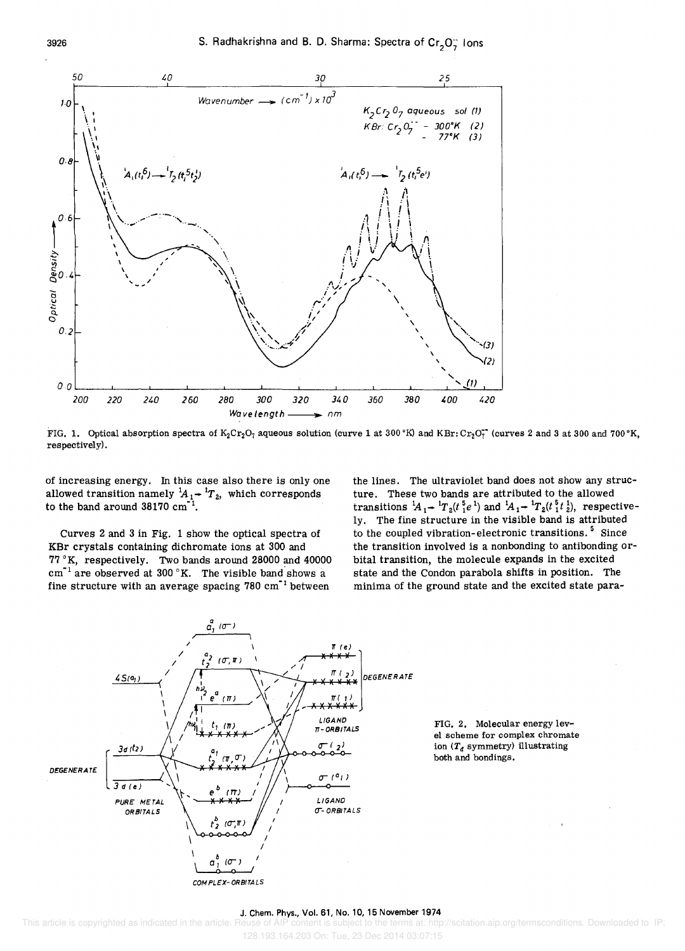

FIG. 1. Optical absorption spectra of  $K_2Cr_2O_7$  aqueous solution (curve 1 at 300 °K) and KBr: Cr<sub>2</sub>O<sub>7</sub><sup>-</sup> (curves 2 and 3 at 300 and 700 °K, respectively) .

of increasing energy. In this case also there is only one allowed transition namely  ${}^{1}A_{1}$  +  ${}^{1}T_{2}$ , which corresponds to the band around  $38170 \text{ cm}^{-1}$ .

3926

Curves 2 and 3 in Fig. 1 show the optical spectra of KBr crystals containing dichromate ions at 300 and 77°K, respectively. Two bands around 28000 and 40000  $cm^{-1}$  are observed at 300 °K. The visible band shows a fine structure with an average spacing  $780 \text{ cm}^{-1}$  between

the lines. The ultraviolet band does not show any structure. These two bands are attributed to the allowed transitions  ${}^{1}A_{1}$  +  ${}^{1}T_{2}(t \frac{5}{1}e^{1})$  and  ${}^{1}A_{1}$  +  ${}^{1}T_{2}(t \frac{5}{1}t \frac{1}{2})$ , respectively. The fine structure in the visible band is attributed to the coupled vibration-electronic transitions.<sup>5</sup> Since the transition involved is a nonbonding to antibonding orbital transition, the molecule expands in the excited state and the Condon parabola shifts in position. The minima of the ground state and the excited state para-



FIG. 2. Molecular energy level scheme for complex chromate ion $\left(T_d \text{ symmetry}\right)$ illustrating both and bondings.

#### J. Chern. Phys., Vol. 61, No. 10, 15 November 1974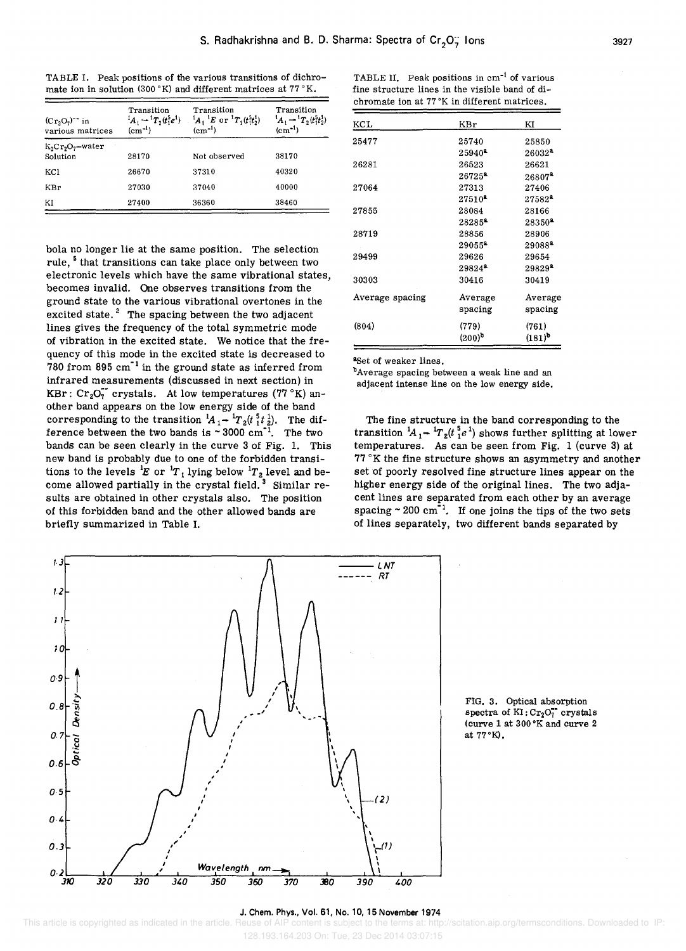TABLE I. Peak positions of the various transitions of dichromate ion in solution (300 °K) and different matrices at 77 °K.

| $(Cr_2O_7)^{-1}$ in<br>various matrices | Transition<br>$(cm-1)$ | Transition<br>${}^{1}A_{1} \rightarrow {}^{1}T_{2}(t_{1}^{5}e^{1})$ ${}^{1}A_{1} {}^{1}E$ or ${}^{1}T_{1}(t_{1}^{5}t_{2}^{1})$<br>$(cm^{-1})$ | Transition<br>${}^1A_1 \rightarrow {}^1T_2(t_1^5t_2^1)$<br>$\rm (cm^{-1})$ |  |
|-----------------------------------------|------------------------|-----------------------------------------------------------------------------------------------------------------------------------------------|----------------------------------------------------------------------------|--|
| $K_2Cr_2O_2$ -water<br>Solution         | 28170                  | Not observed                                                                                                                                  | 38170                                                                      |  |
| KC1                                     | 26670                  | 37310                                                                                                                                         | 40320                                                                      |  |
| <b>KBr</b>                              | 27030                  | 37040                                                                                                                                         | 40000                                                                      |  |
| ΚI                                      | 27400                  | 36360                                                                                                                                         | 38460                                                                      |  |

bola no longer lie at the same position. The selection rule, 5 that transitions can take place only between two electronic levels which have the same vibrational states, becomes invalid. One observes transitions from the ground state to the various vibrational overtones in the excited state. $2$  The spacing between the two adjacent lines gives the frequency of the total symmetric mode of vibration in the excited state. We notice that the frequency of this mode in the excited state is decreased to  $780$  from 895 cm<sup>-1</sup> in the ground state as inferred from infrared measurements (discussed in next section) in KBr:  $Cr_2O_7^{\sim}$  crystals. At low temperatures (77 °K) another band appears on the low energy side of the band corresponding to the transition  ${}^1A_1$  +  ${}^1T_2(t_1^5t_2^1)$ . The difference between the two bands is  $\sim 3000 \text{ cm}^{-1}$ . The two bands can be seen clearly in the curve 3 of Fig. 1. This new band is probably due to one of the forbidden transitions to the levels <sup>1</sup>E or <sup>1</sup>T<sub>1</sub> lying below <sup>1</sup>T<sub>2</sub> level and become allowed partially in the crystal field.<sup>3</sup> Similar results are obtained in other crystals also. The position of this forbidden band and the other allowed bands are briefly summarized in Table 1.

| KCL             | KBr                | KI                 |
|-----------------|--------------------|--------------------|
| 25477           | 25740              | 25850              |
|                 | 25940*             | $26032^a$          |
| 26281           | 26523              | 26621              |
|                 | $26725^{\text{a}}$ | $26807^2$          |
| 27064           | 27313              | 27406              |
|                 | $27510^2$          | $27582^4$          |
| 27855           | 28084              | 28166              |
|                 | $28285^2$          | 28350 <sup>2</sup> |
| 28719           | 28856              | 28906              |
|                 | $29055^2$          | $29088^2$          |
| 29499           | 29626              | 29654              |
|                 | $29824^2$          | $29829^*$          |
| 30303           | 30416              | 30419              |
| Average spacing | Average            | Average            |
|                 | spacing            | spacing            |
| (804)           | (779)              | (761)              |
|                 | $(200)^b$          | $(181)^{b}$        |

TABLE II. Peak positions in  $cm<sup>-1</sup>$  of various fine structure lines in the visible band of dichromate ion at 77 °K in different matrices.

aSet of weaker lines.

bAverage spacing between a weak line and an adjacent intense line on the low energy side.

The fine structure in the band corresponding to the transition  ${}^1A_1$ <sup>+</sup> ${}^1T_2(t \tbinom{5}{1}e^1)$  shows further splitting at lower temperatures. As can be seen from Fig. 1 (curve 3) at 77 °K the fine structure shows an asymmetry and another set of poorly resolved fine structure lines appear on the higher energy side of the original lines. The two adjacent lines are separated from each other by an average spacing  $\sim 200 \text{ cm}^{-1}$ . If one joins the tips of the two sets of lines separately, two different bands separated by



FIG. 3. Optical absorption spectra of  $KI: Cr_2O_7^{--}$  crystals (curve 1 at 300°K and curve 2 at 77°K).

#### J. Chem. Phys., Vol. 61, No. 10, 15 November 1974

128.193.164.203 On: Tue, 23 Dec 2014 03:07:15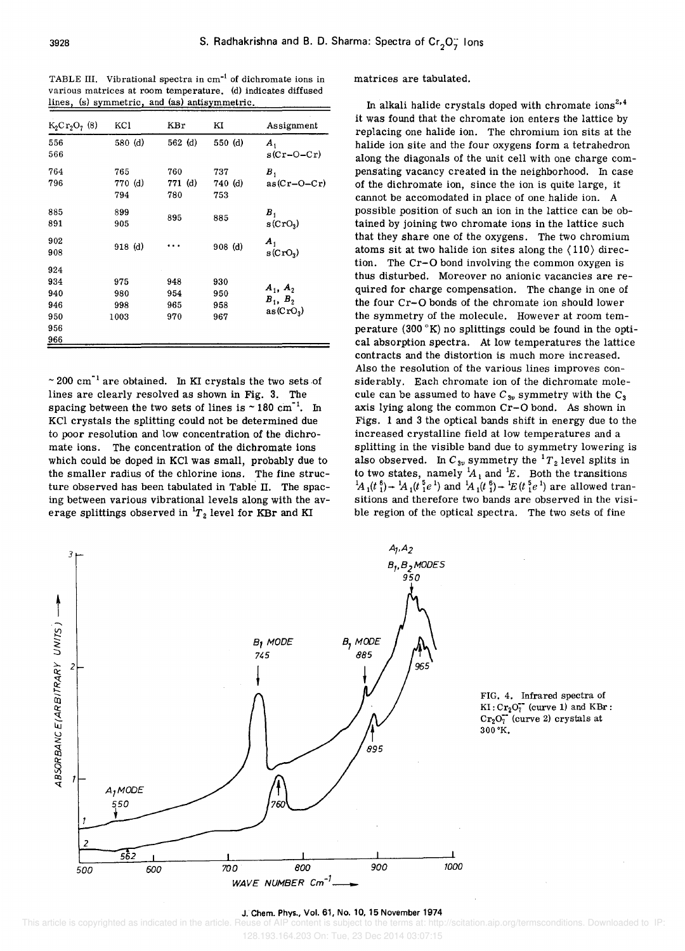TABLE III. Vibrational spectra in cm<sup>-1</sup> of dichromate ions in various matrices at room temperature. (d) indicates diffused lines, (s) symmetric, and (as) antisymmetric.

| $K_2Cr_2O_7(8)$ | KCl                   | KBr                   | ΚI                    | Assignment                                 |
|-----------------|-----------------------|-----------------------|-----------------------|--------------------------------------------|
| 556<br>566      | 580 (d)               | $562$ (d)             | 550 (d)               | $\boldsymbol{A}_1$<br>$s(Cr-O-Cr)$         |
| 764<br>796      | 765<br>770 (d)<br>794 | 760<br>771 (d)<br>780 | 737<br>740 (d)<br>753 | $B_{1}$<br>$as(Cr-O-Cr)$                   |
| 885<br>891      | 899<br>905            | 895                   | 885                   | $B_{1}$<br>$s(CrO_3)$                      |
| 902<br>908      | $918$ (d)             |                       | $908$ (d)             | $\boldsymbol{A}_1$<br>s(CrO <sub>3</sub> ) |
| 924             |                       |                       |                       |                                            |
| 934             | 975                   | 948                   | 930                   |                                            |
| 940             | 980                   | 954                   | 950                   | $A_1, A_2$                                 |
| 946             | 998                   | 965                   | 958                   | $B_1$ , $B_2$                              |
| 950             | 1003                  | 970                   | 967                   | as(CrO <sub>3</sub> )                      |
| 956             |                       |                       |                       |                                            |
| 966             |                       |                       |                       |                                            |

 $\sim$  200 cm<sup>-1</sup> are obtained. In KI crystals the two sets of lines are clearly resolved as shown in Fig. 3. The spacing between the two sets of lines is  $\sim 180 \text{ cm}^{-1}$ . In KCI crystals the splitting could not be determined due to poor resolution and low concentration of the dichromate ions. The concentration of the dichromate ions which could be doped in KCI was small, probably due to the smaller radius of the chlorine ions. The fine structure observed has been tabulated in Table II. The spacing between various vibrational levels along with the average splittings observed in  ${}^{1}T_{2}$  level for KBr and KI

#### matrices are tabulated.

In alkali halide crystals doped with chromate  $i$ ons<sup>2,4</sup> it was found that the chromate ion enters the lattice by replacing one halide ion. The chromium ion sits at the halide ion site and the four oxygens form a tetrahedron along the diagonals of the unit cell with one charge compensating vacancy created in the neighborhood. In case of the dichromate ion, since the ion is quite large, it cannot be accomodated in place of one halide ion. A possible position of such an ion in the lattice can be obtained by joining two chromate ions in the lattice such that they share one of the oxygens. The two chromium atoms sit at two halide ion sites along the  $\langle 110 \rangle$  direction. The Cr-O bond involving the common oxygen is thus disturbed. Moreover no anionic vacancies are required for charge compensation. The change in one of the four Cr-O bonds of the chromate ion should lower the symmetry of the molecule. However at room temperature (300 $\mathrm{K}$ ) no splittings could be found in the optical absorption spectra. At low temperatures the lattice contracts and the distortion is much more increased. Also the resolution of the various lines improves considerably. Each chromate ion of the dichromate molecule can be assumed to have  $C_{3v}$  symmetry with the  $C_3$ axis lying along the common Cr-O bond. As shown in Figs. 1 and 3 the optical bands shift in energy due to the increased crystalline field at low temperatures and a splitting in the visible band due to symmetry lowering is also observed. In  $C_{3\nu}$  symmetry the  ${}^{1}T_{2}$  level splits in to two states, namely  ${}^{1}A_1$  and  ${}^{1}E$ . Both the transitions  ${}^{1}A_{1}(t_{1}^{6}) \rightarrow {}^{1}A_{1}(t_{1}^{5}e^{1})$  and  ${}^{1}A_{1}(t_{1}^{6}) \rightarrow {}^{1}E(t_{1}^{5}e^{1})$  are allowed transitions and therefore two bands are observed in the visible region of the optical spectra. The two sets of fine



#### J. Chem. Phys., Vol. 61, No. 10, 15 November 1974

<sup>128.193.164.203</sup> On: Tue, 23 Dec 2014 03:07:15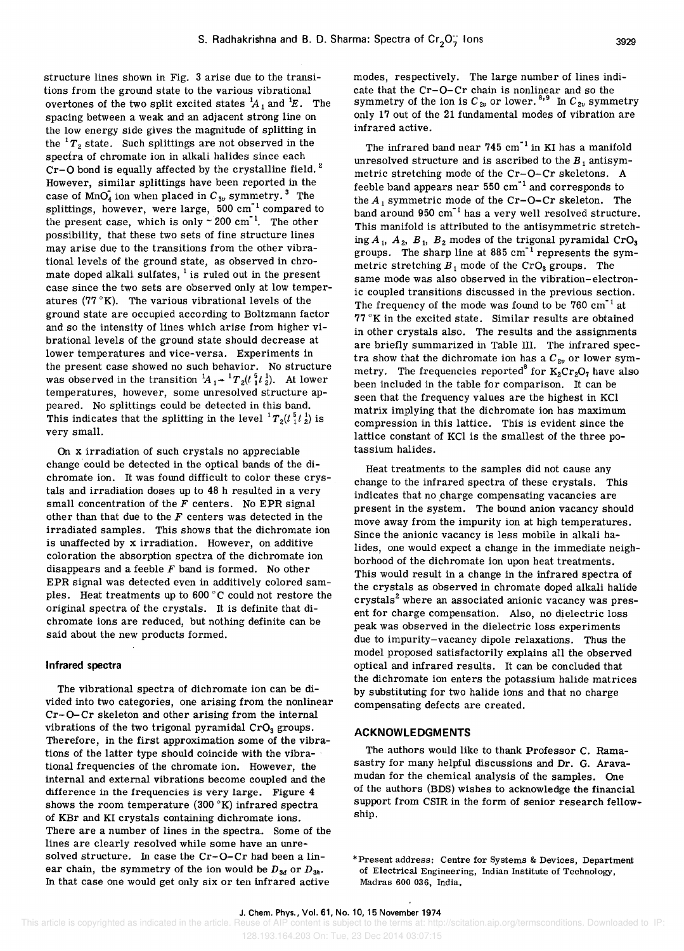structure lines shown in Fig. 3 arise due to the transitions from the ground state to the various vibrational overtones of the two split excited states  $A_1$  and  $E$ . The spacing between a weak and an adjacent strong line on the low energy side gives the magnitude of splitting in the  ${}^{1}T_{2}$  state. Such splittings are not observed in the spectra of chromate ion in alkali halides since each  $Cr-O$  bond is equally affected by the crystalline field.<sup>2</sup> However, similar splittings have been reported in the case of  $\text{MnO}_4$  ion when placed in  $C_{3v}$  symmetry.<sup>3</sup> The splittings, however, were large,  $500 \text{ cm}^{-1}$  compared to the present case, which is only  $\sim 200 \text{ cm}^{-1}$ . The other possibility, that these two sets of fine structure lines may arise due to the transitions from the other vibrational levels of the ground state, as observed in chromate doped alkali sulfates,  $\frac{1}{1}$  is ruled out in the present case since the two sets are observed only at low temperatures (77 $\mathrm{K}$ ). The various vibrational levels of the ground state are occupied according to Boltzmann factor and so the intensity of lines which arise from higher vibrational levels of the ground state should decrease at lower temperatures and vice-versa. Experiments in the present case showed no such behavior. No structure was observed in the transition  ${}^1A_1$  +  ${}^1T_2$ ( ${}^5t_1{}^1_2$ ). At lower temperatures, however, some unresolved structure appeared. No splittings could be detected in this band. This indicates that the splitting in the level  ${}^{1}T_{2}(t_1^5t_2^1)$  is very small.

On x irradiation of such crystals no appreciable change could be detected in the optical bands of the dichromate ion. It was found difficult to color these crystals and irradiation doses up to 48 h resulted in a very small concentration of the *F* centers. No EPR signal other than that due to the *F* centers was detected in the irradiated samples. This shows that the dichromate ion is unaffected by x irradiation. However, on additive coloration the absorption spectra of the dichromate ion disappears and a feeble *F* band is formed. No other EPR signal was detected even in additively colored sampIes. Heat treatments up to 600 ° C could not restore the original spectra of the crystals. It is definite that dichromate ions are reduced, but nothing definite can be said about the new products formed.

#### **Infrared spectra**

The vibrational spectra of dichromate ion can be divided into two categories, one arising from the nonlinear Cr-O-Cr skeleton and other arising from the internal vibrations of the two trigonal pyramidal  $CrO<sub>3</sub>$  groups. Therefore, in the first approximation some of the vibrations of the latter type should coincide with the vibra- . tional frequencies of the chromate ion. However, the internal and external vibrations become coupled and the difference in the frequencies is very large. Figure 4 shows the room temperature (300 $\,^{\circ}\text{K}$ ) infrared spectra of KBr and KI crystals containing dichromate ions. There are a number of lines in the spectra. Some of the lines are clearly resolved while some have an unresolved structure. In case the Cr-O-Cr had been a linear chain, the symmetry of the ion would be  $D_{3d}$  or  $D_{3h}$ . In that case one would get only six or ten infrared active

modes, respectively. The large number of lines indicate that the Cr-O-Cr chain is nonlinear and so the symmetry of the ion is  $C_{2v}$  or lower.  $8.9$  In  $C_{2v}$  symmetry only 17 out of the 21 fundamental modes of vibration are infrared active.

The infrared band near 745 cm<sup>-1</sup> in KI has a manifold unresolved structure and is ascribed to the  $B_1$  antisymmetric stretching mode of the Cr-O-Cr skeletons. A feeble band appears near  $550 \text{ cm}^{-1}$  and corresponds to the  $A_1$  symmetric mode of the Cr-O-Cr skeleton. The band around 950 cm"1 has a very well resolved structure. This manifold is attributed to the antisymmetric stretching  $A_1$ ,  $A_2$ ,  $B_1$ ,  $B_2$  modes of the trigonal pyramidal CrO<sub>3</sub> groups. The sharp line at  $885 \text{ cm}^{-1}$  represents the symmetric stretching  $B_1$  mode of the CrO<sub>3</sub> groups. The same mode was also observed in the vibration-electronic coupled transitions discussed in the previous section. The frequency of the mode was found to be  $760 \text{ cm}^{-1}$  at  $77°$ K in the excited state. Similar results are obtained in other crystals also. The results and the assignments are briefly summarized in Table III. The infrared spectra show that the dichromate ion has a  $C_{2v}$  or lower symmetry. The frequencies reported<sup>8</sup> for  $K_2Cr_2O_7$  have also been included in the table for comparison. It can be seen that the frequency values are the highest in KCl matrix implying that the dichromate ion has maximum compression in this lattice. This is evident since the lattice constant of KCl is the smallest of the three potassium halides.

Heat treatments to the samples did not cause any change to the infrared spectra of these crystals. This indicates that no charge compensating vacancies are present in the system. The bound anion vacancy should move away from the impurity ion at high temperatures. Since the anionic vacancy is less mobile in alkali halides, one would expect a change in the immediate neighborhood of the dichromate ion upon heat treatments. This would result in a change in the infrared spectra of the crystals as observed in chromate doped alkali halide crystals<sup>2</sup> where an associated anionic vacancy was present for charge compensation. Also, no dielectric loss peak was observed in the dielectric loss experiments due to impurity-vacancy dipole relaxations. Thus the model proposed satisfactorily explains all the observed optical and infrared results. It can be concluded that the dichromate ion enters the potassium halide matrices by substituting for two halide ions and that no charge compensating defects are created.

#### **ACKNOWLEDGMENTS**

The authors would like to thank Professor C. Ramasastry for many helpful discussions and Dr. G. Aravamudan for the chemical analysis of the samples. One of the authors (BDS) wishes to acknowledge the financial support from CSIR in the form of senior research fellowship.

\*Present address: Centre for Systems & Devices, Department of Electrical Engineering, Indian Institute of Technology, Madras 600 036, India.